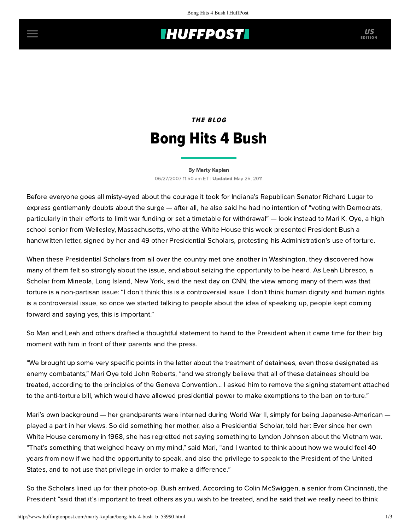## **INUFFPOST**

# THE BLOG Bong Hits 4 Bush

[By Marty Kaplan](http://www.huffingtonpost.com/author/marty-kaplan) 06/27/2007 11:50 am ET | Updated May 25, 2011

Before everyone goes all misty-eyed about the courage it took for Indiana's Republican Senator Richard Lugar to express gentlemanly doubts about the surge — after all, [he also said](http://www.nytimes.com/2007/06/27/washington/27cong.html) he had no intention of "voting with Democrats, particularly in their efforts to limit war funding or set a timetable for withdrawal" — look instead to Mari K. Oye, a high school senior from Wellesley, Massachusetts, who at the White House this week presented President Bush a handwritten letter, signed by her and 49 other Presidential Scholars, protesting his Administration's use of torture.

When these Presidential Scholars from all over the country met one another in Washington, they discovered how many of them felt so strongly about the issue, and about seizing the opportunity to be heard. As Leah Libresco, a Scholar from Mineola, Long Island, New York, said the next day on CNN, the view among many of them was that torture is a non-partisan issue: "I don't think this is a controversial issue. I don't think human dignity and human rights is a controversial issue, so once we started talking to people about the idea of speaking up, people kept coming forward and saying yes, this is important."

So Mari and Leah and others drafted a thoughtful statement to hand to the President when it came time for their big moment with him in front of their parents and the press.

"We brought up some very specific points in the letter about the treatment of detainees, even those designated as enemy combatants," Mari Oye told John Roberts, "and we strongly believe that all of these detainees should be treated, according to the principles of the Geneva Convention... I asked him to remove the signing statement attached to the anti-torture bill, which would have allowed presidential power to make exemptions to the ban on torture."

Mari's own background — her grandparents were interned during World War II, simply for being Japanese-American played a part in her views. So did something her mother, also a Presidential Scholar, told her: Ever since her own White House ceremony in 1968, she has regretted not saying something to Lyndon Johnson about the Vietnam war. "That's something that weighed heavy on my mind," said Mari, "and I wanted to think about how we would feel 40 years from now if we had the opportunity to speak, and also the privilege to speak to the President of the United States, and to not use that privilege in order to make a difference."

So the Scholars lined up for their photo-op. Bush arrived. According to Colin McSwiggen, a senior from Cincinnati, the President "said that it's important to treat others as you wish to be treated, and he said that we really need to think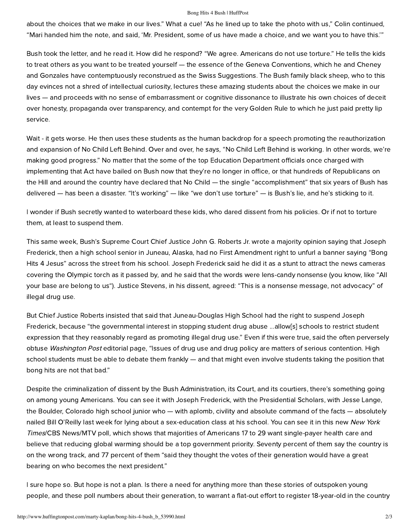#### Bong Hits 4 Bush | HuffPost

about the choices that we make in our lives." What a cue! "As he lined up to take the photo with us," Colin continued, "Mari handed him the note, and said, 'Mr. President, some of us have made a choice, and we want you to have this.'"

Bush took the letter, and he read it. How did he respond? "We agree. Americans do not use torture." He tells the kids to treat others as you want to be treated yourself — the essence of the Geneva Conventions, which he and Cheney and Gonzales have contemptuously reconstrued as the Swiss Suggestions. The Bush family black sheep, who to this day evinces not a shred of intellectual curiosity, lectures these amazing students about the choices we make in our lives — and proceeds with no sense of embarrassment or cognitive dissonance to illustrate his own choices of deceit over honesty, propaganda over transparency, and contempt for the very Golden Rule to which he just paid pretty lip service.

Wait - it gets worse. He then uses these students as the human backdrop for a [speech](http://www.whitehouse.gov/news/releases/2007/06/20070625-7.html) promoting the reauthorization and expansion of No Child Left Behind. Over and over, he says, "No Child Left Behind is working. In other words, we're making good progress." No matter that the some of the top Education Department officials once charged with implementing that Act [have bailed on Bush](http://www.washingtonpost.com/wp-dyn/content/article/2007/06/25/AR2007062501897.html?nav=hcmodule) now that they're no longer in office, or that hundreds of Republicans on the Hill and around the country have declared that No Child — the single "accomplishment" that six years of Bush has delivered — has been a disaster. "It's working" — like "we don't use torture" — is Bush's lie, and he's sticking to it.

I wonder if Bush secretly wanted to waterboard these kids, who dared dissent from his policies. Or if not to torture them, at least to suspend them.

This same week, Bush's Supreme Court Chief Justice John G. Roberts Jr. wrote a majority opinion saying that Joseph Frederick, then a high school senior in Juneau, Alaska, had no First Amendment right to unfurl a banner saying "Bong Hits 4 Jesus" across the street from his school. Joseph Frederick said he did it as a stunt to attract the news cameras [covering the Olympic torch as it passed by, and he said that the words were lens-candy nonsense \(you know, like](http://en.wikipedia.org/wiki/All_your_base_are_belong_to_us) "All your base are belong to us"). Justice Stevens, in his dissent, agreed: "This is a nonsense message, not advocacy" of illegal drug use.

But Chief Justice Roberts insisted that said that Juneau-Douglas High School had the right to suspend Joseph Frederick, because "the governmental interest in stopping student drug abuse ...allow[s] schools to restrict student expression that they reasonably regard as promoting illegal drug use." Even if this were true, said the often perversely obtuse Washington Post [editorial](http://www.washingtonpost.com/wp-dyn/content/article/2007/06/26/AR2007062601864.html?referrer=email) page, "Issues of drug use and drug policy are matters of serious contention. High school students must be able to debate them frankly — and that might even involve students taking the position that bong hits are not that bad."

Despite the criminalization of dissent by the Bush Administration, its Court, and its courtiers, there's something going on among young Americans. You can see it with Joseph Frederick, with the Presidential Scholars, with Jesse Lange, the Boulder, Colorado high school junior who — with aplomb, civility and absolute command of the facts — absolutely [nailed Bill O'Reilly](http://radaronline.com/exclusives/2007/06/pinhead-16yearold-schools-oreilly.php) last week for lying about a sex-education class at his school. You can see it in this new New York Times/CBS News/MTV [poll](http://www.nytimes.com/2007/06/27/washington/27poll.html?hp), which shows that majorities of Americans 17 to 29 want single-payer health care and believe that reducing global warming should be a top government priority. Seventy percent of them say the country is on the wrong track, and 77 percent of them "said they thought the votes of their generation would have a great bearing on who becomes the next president."

I sure hope so. But hope is not a plan. Is there a need for anything more than these stories of outspoken young people, and these poll numbers about their generation, to warrant a flat-out effort to register 18-year-old in the country